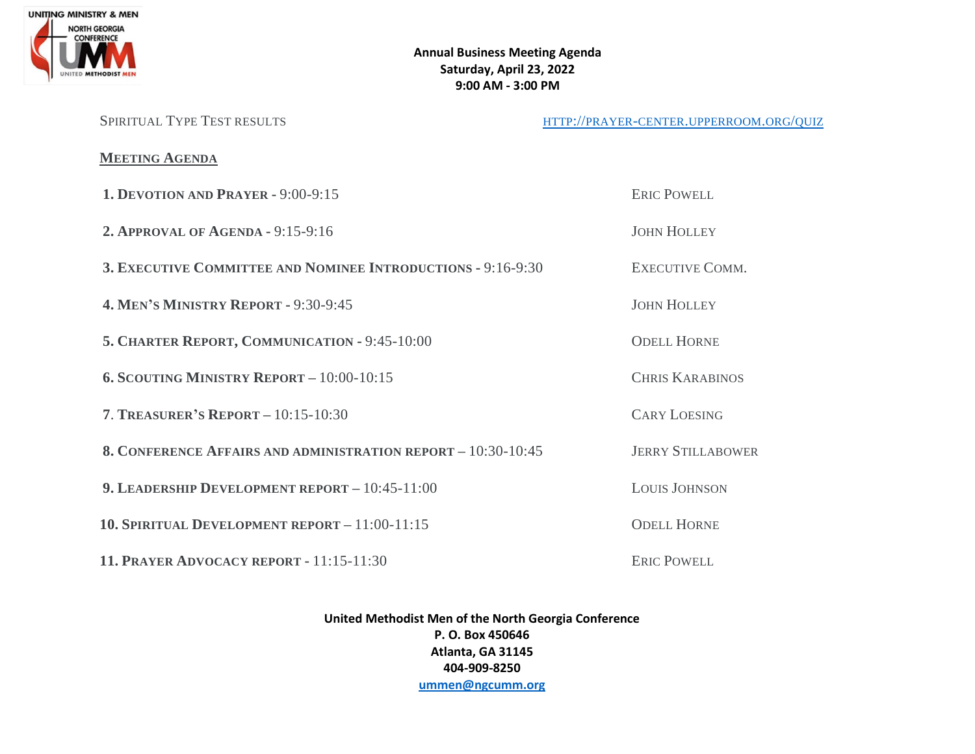

### **Annual Business Meeting Agenda Saturday, April 23, 2022 9:00 AM - 3:00 PM**

SPIRITUAL TYPE TEST RESULTS HTTP://PRAYER-CENTER.[UPPERROOM](http://prayer-center.upperroom.org/quiz).ORG/QUIZ

## **MEETING AGENDA**

| <b>1. DEVOTION AND PRAYER - 9:00-9:15</b>                     | <b>ERIC POWELL</b>       |
|---------------------------------------------------------------|--------------------------|
| <b>2. APPROVAL OF AGENDA - 9:15-9:16</b>                      | <b>JOHN HOLLEY</b>       |
| 3. EXECUTIVE COMMITTEE AND NOMINEE INTRODUCTIONS - 9:16-9:30  | <b>EXECUTIVE COMM.</b>   |
| <b>4. MEN'S MINISTRY REPORT - 9:30-9:45</b>                   | <b>JOHN HOLLEY</b>       |
| 5. CHARTER REPORT, COMMUNICATION - 9:45-10:00                 | <b>ODELL HORNE</b>       |
| <b>6. SCOUTING MINISTRY REPORT - 10:00-10:15</b>              | <b>CHRIS KARABINOS</b>   |
| <b>7. TREASURER'S REPORT - 10:15-10:30</b>                    | <b>CARY LOESING</b>      |
| 8. CONFERENCE AFFAIRS AND ADMINISTRATION REPORT - 10:30-10:45 | <b>JERRY STILLABOWER</b> |
| 9. LEADERSHIP DEVELOPMENT REPORT $-10:45-11:00$               | <b>LOUIS JOHNSON</b>     |
| 10. SPIRITUAL DEVELOPMENT REPORT - 11:00-11:15                | <b>ODELL HORNE</b>       |
| <b>11. PRAYER ADVOCACY REPORT - 11:15-11:30</b>               | <b>ERIC POWELL</b>       |

**United Methodist Men of the North Georgia Conference P. O. Box 450646 Atlanta, GA 31145 404-909-8250 [ummen@ngcumm.org](mailto:ummen@ngcumm.org)**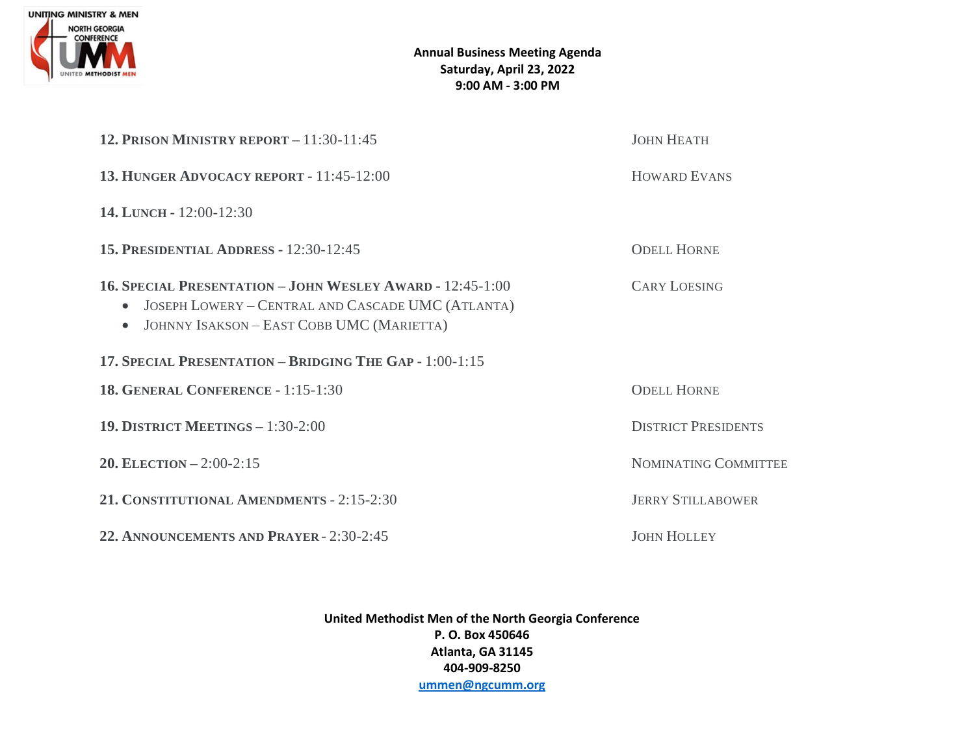

### **Annual Business Meeting Agenda Saturday, April 23, 2022 9:00 AM - 3:00 PM**

| 12. PRISON MINISTRY REPORT $-11:30-11:45$                                                                                                                                         | <b>JOHN HEATH</b>           |
|-----------------------------------------------------------------------------------------------------------------------------------------------------------------------------------|-----------------------------|
| 13. HUNGER ADVOCACY REPORT - 11:45-12:00                                                                                                                                          | <b>HOWARD EVANS</b>         |
| 14. LUNCH - 12:00-12:30                                                                                                                                                           |                             |
| <b>15. PRESIDENTIAL ADDRESS - 12:30-12:45</b>                                                                                                                                     | <b>ODELL HORNE</b>          |
| <b>16. SPECIAL PRESENTATION - JOHN WESLEY AWARD - 12:45-1:00</b><br>• JOSEPH LOWERY - CENTRAL AND CASCADE UMC (ATLANTA)<br>JOHNNY ISAKSON - EAST COBB UMC (MARIETTA)<br>$\bullet$ | <b>CARY LOESING</b>         |
| 17. SPECIAL PRESENTATION - BRIDGING THE GAP - 1:00-1:15                                                                                                                           |                             |
| <b>18. GENERAL CONFERENCE - 1:15-1:30</b>                                                                                                                                         | <b>ODELL HORNE</b>          |
| <b>19. DISTRICT MEETINGS - 1:30-2:00</b>                                                                                                                                          | <b>DISTRICT PRESIDENTS</b>  |
| 20. ELECTION $-2:00-2:15$                                                                                                                                                         | <b>NOMINATING COMMITTEE</b> |
| 21. CONSTITUTIONAL AMENDMENTS - 2:15-2:30                                                                                                                                         | <b>JERRY STILLABOWER</b>    |
| 22. ANNOUNCEMENTS AND PRAYER - 2:30-2:45                                                                                                                                          | <b>JOHN HOLLEY</b>          |

**United Methodist Men of the North Georgia Conference P. O. Box 450646 Atlanta, GA 31145 404-909-8250 [ummen@ngcumm.org](mailto:ummen@ngcumm.org)**